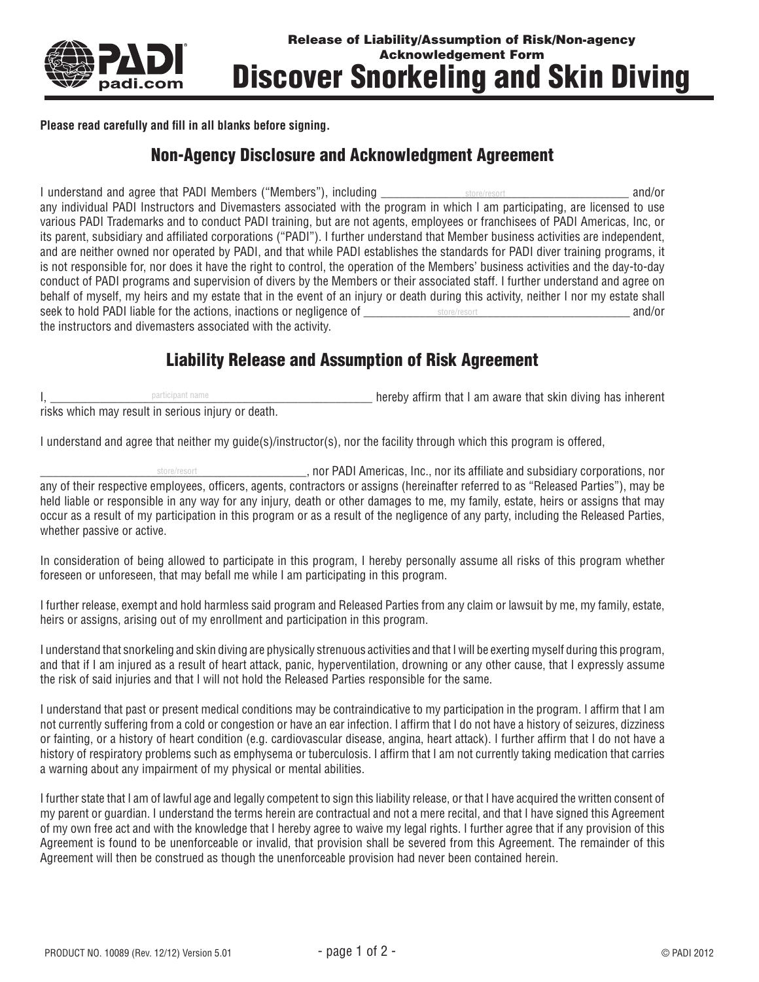

**Please read carefully and fill in all blanks before signing.**

## Non-Agency Disclosure and Acknowledgment Agreement

I understand and agree that PADI Members ("Members"), including we are store/resort and and/or any individual PADI Instructors and Divemasters associated with the program in which I am participating, are licensed to use various PADI Trademarks and to conduct PADI training, but are not agents, employees or franchisees of PADI Americas, Inc, or its parent, subsidiary and affiliated corporations ("PADI"). I further understand that Member business activities are independent, and are neither owned nor operated by PADI, and that while PADI establishes the standards for PADI diver training programs, it is not responsible for, nor does it have the right to control, the operation of the Members' business activities and the day-to-day conduct of PADI programs and supervision of divers by the Members or their associated staff. I further understand and agree on behalf of myself, my heirs and my estate that in the event of an injury or death during this activity, neither I nor my estate shall seek to hold PADI liable for the actions, inactions or negligence of \_\_\_\_\_\_\_\_\_\_\_\_\_\_\_\_\_\_\_\_\_\_\_\_\_\_\_\_\_\_\_\_\_\_\_\_\_\_\_\_\_\_\_ and/or store/resort the instructors and divemasters associated with the activity. store/resort

## Liability Release and Assumption of Risk Agreement

I, \_\_\_\_\_\_\_\_\_\_\_\_\_\_\_\_\_\_\_\_\_\_\_\_\_\_\_\_\_\_\_\_\_\_\_\_\_\_\_\_\_\_\_\_\_\_\_\_\_\_\_\_ hereby affirm that I am aware that skin diving has inherent risks which may result in serious injury or death. participant name

I understand and agree that neither my guide(s)/instructor(s), nor the facility through which this program is offered,

\_\_\_\_\_\_\_\_\_\_\_\_\_\_\_\_\_\_\_\_\_\_\_\_\_\_\_\_\_\_\_\_\_\_\_\_\_\_\_\_\_\_\_, nor PADI Americas, Inc., nor its affiliate and subsidiary corporations, nor store/resortany of their respective employees, officers, agents, contractors or assigns (hereinafter referred to as "Released Parties"), may be held liable or responsible in any way for any injury, death or other damages to me, my family, estate, heirs or assigns that may occur as a result of my participation in this program or as a result of the negligence of any party, including the Released Parties, whether passive or active.

In consideration of being allowed to participate in this program, I hereby personally assume all risks of this program whether foreseen or unforeseen, that may befall me while I am participating in this program.

I further release, exempt and hold harmless said program and Released Parties from any claim or lawsuit by me, my family, estate, heirs or assigns, arising out of my enrollment and participation in this program.

I understand that snorkeling and skin diving are physically strenuous activities and that I will be exerting myself during this program, and that if I am injured as a result of heart attack, panic, hyperventilation, drowning or any other cause, that I expressly assume the risk of said injuries and that I will not hold the Released Parties responsible for the same.

I understand that past or present medical conditions may be contraindicative to my participation in the program. I affirm that I am not currently suffering from a cold or congestion or have an ear infection. I affirm that I do not have a history of seizures, dizziness or fainting, or a history of heart condition (e.g. cardiovascular disease, angina, heart attack). I further affirm that I do not have a history of respiratory problems such as emphysema or tuberculosis. I affirm that I am not currently taking medication that carries a warning about any impairment of my physical or mental abilities.

I further state that I am of lawful age and legally competent to sign this liability release, or that I have acquired the written consent of my parent or guardian. I understand the terms herein are contractual and not a mere recital, and that I have signed this Agreement of my own free act and with the knowledge that I hereby agree to waive my legal rights. I further agree that if any provision of this Agreement is found to be unenforceable or invalid, that provision shall be severed from this Agreement. The remainder of this Agreement will then be construed as though the unenforceable provision had never been contained herein.